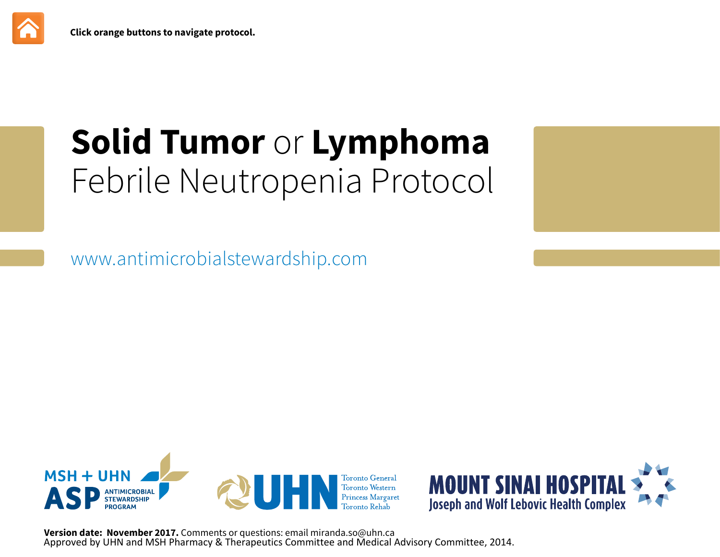# **Solid Tumor** or **Lymphoma**  Febrile Neutropenia Protocol

www.antimicrobialstewardship.com





**Version date: November 2017.** Comments or questions: email miranda.so@uhn.ca Approved by UHN and MSH Pharmacy & Therapeutics Committee and Medical Advisory Committee, 2014.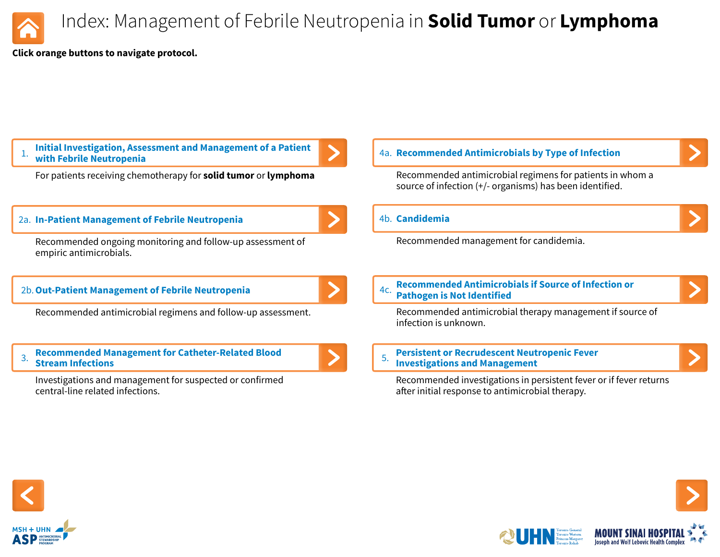# Index: Management of Febrile Neutropenia in **Solid Tumor** or **Lymphoma**

### **Click orange buttons to navigate protocol.**



For patients receiving chemotherapy for **solid tumor** or **lymphoma**

#### 2a. **In-Patient Management of Febrile Neutropenia**



Recommended ongoing monitoring and follow-up assessment of empiric antimicrobials.

#### 2b.**Out-Patient Management of Febrile Neutropenia**



 $\geq$ 

Recommended antimicrobial regimens and follow-up assessment.

**Recommended Management for Catheter-Related Blood Stream Infections** 3.

Investigations and management for suspected or confirmed central-line related infections.

#### 4a. **Recommended Antimicrobials by Type of Infection**

Recommended antimicrobial regimens for patients in whom a source of infection (+/- organisms) has been identified.

#### 4b. **Candidemia**



Recommended management for candidemia.



Recommended antimicrobial therapy management if source of infection is unknown.



Recommended investigations in persistent fever or if fever returns after initial response to antimicrobial therapy.







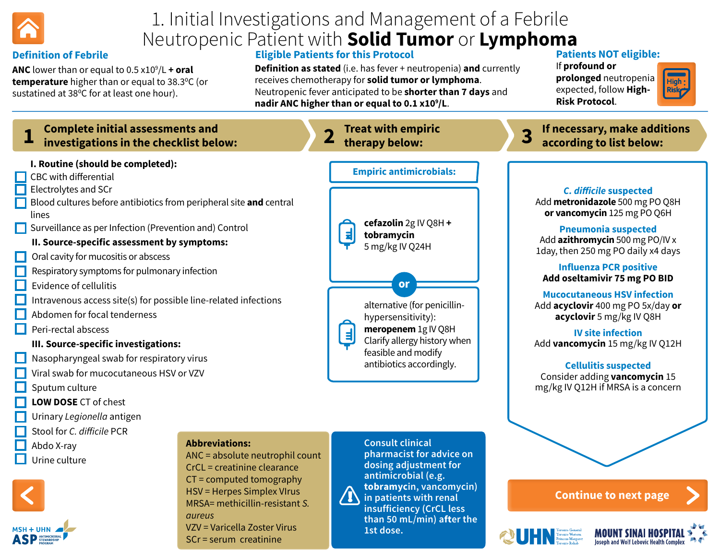

### 1. Initial Investigations and Management of a Febrile Neutropenic Patient with **Solid Tumor** or **Lymphoma**

### **Definition of Febrile Eligible Patients for this Protocol**

**ANC** lower than or equal to 0.5 x109 /L **+ oral temperature** higher than or equal to 38.3°C (or sustatined at 38°C for at least one hour).

**Definition as stated** (i.e. has fever + neutropenia) **and** currently receives chemotherapy for **solid tumor or lymphoma**. Neutropenic fever anticipated to be **shorter than 7 days** and **nadir ANC higher than or equal to 0.1 x109 /L**.

### **Patients NOT eligible:**

If **profound or prolonged** neutropenia expected, follow **High-Risk Protocol**.



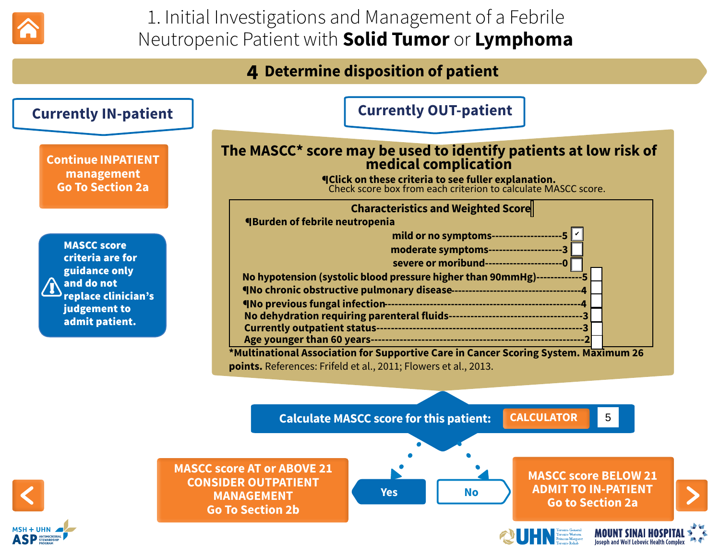<span id="page-3-0"></span>

## 1. Initial Investigations and Management of a Febrile Neutropenic Patient with **Solid Tumor** or **Lymphoma**

|                                                         | 4 Determine disposition of Burden of febrile neutropenia refers to the general clinical<br>status of the patient as influenced by the febrile neutropenic                                     |
|---------------------------------------------------------|-----------------------------------------------------------------------------------------------------------------------------------------------------------------------------------------------|
|                                                         | episode. Scores 3 (moderate symptoms) and 5 (severe or<br>moribund) are not cumulative.<br>Currently OU                                                                                       |
| <b>Currently IN-patient</b>                             | Chronic obstructive pulmonary disease means active chronic<br>bronchitis, emphysema, decrease in forced expiratory                                                                            |
| <b>Continue INPATIENT</b><br>management                 | volumes, or need for oxygen therapy and/or steroids and/or<br>The MASCC* score may be used to pronon both and the presentation of<br>medical cor febrile neutropenic episode.                 |
| <b>Go To Section 2a</b>                                 | I Click on these criteria to see tuner evaluation<br>infection or empirically treated suspected fungal infection.                                                                             |
|                                                         | <b>Characteristics and Weighted Score</b><br><b>IBurden of febrile neutropenia</b>                                                                                                            |
| <b>MASCC score</b><br>criteria are for<br>guidance only | mild or no symptoms---------------------5<br>moderate symptoms---------------------3<br>severe or moribund----------------------0                                                             |
| and do not<br>replace clinician's                       | No hypotension (systolic blood pressure higher than 90mmHg)--------------5                                                                                                                    |
| judgement to<br>admit patient.                          |                                                                                                                                                                                               |
|                                                         | *Multinational Association for Supportive Care in Cancer Scoring System. Maximum 26<br>points. References: Frifeld et al., 2011; Flowers et al., 2013.                                        |
|                                                         |                                                                                                                                                                                               |
|                                                         | <b>CALCULATOR</b><br>5<br><b>Calculate MASCC score for this patient:</b>                                                                                                                      |
|                                                         |                                                                                                                                                                                               |
|                                                         | <b>MASCC score AT or ABOVE 21</b>                                                                                                                                                             |
|                                                         | <b>MASCC score BELOW 21</b><br><b>CONSIDER OUTPATIENT</b><br><b>ADMIT TO IN-PATIENT</b><br><b>Yes</b><br><b>No</b><br><b>MANAGEMENT</b><br><b>Go to Section 2a</b><br><b>Go To Section 2b</b> |
| $MSH + UHN$<br>ASP STEWARDSHIP                          | MOUNT SINAI HOSPITAL ><br><b>Toronto Ceneral Toronto Western</b><br><b>Friences Margaret</b>                                                                                                  |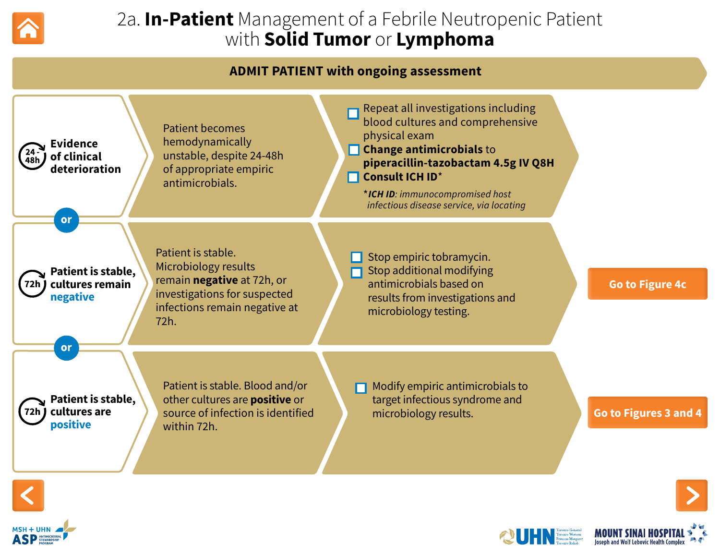<span id="page-4-0"></span>

### 2a. **In-Patient** Management of a Febrile Neutropenic Patient with **Solid Tumor** or **Lymphoma**

### **ADMIT PATIENT with ongoing assessment**







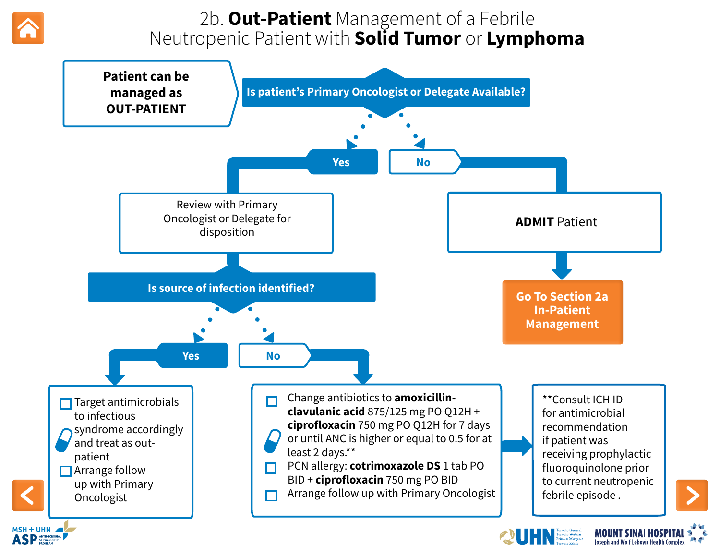### 2b. **Out-Patient** Management of a Febrile Neutropenic Patient with **Solid Tumor** or **Lymphoma**

<span id="page-5-0"></span>



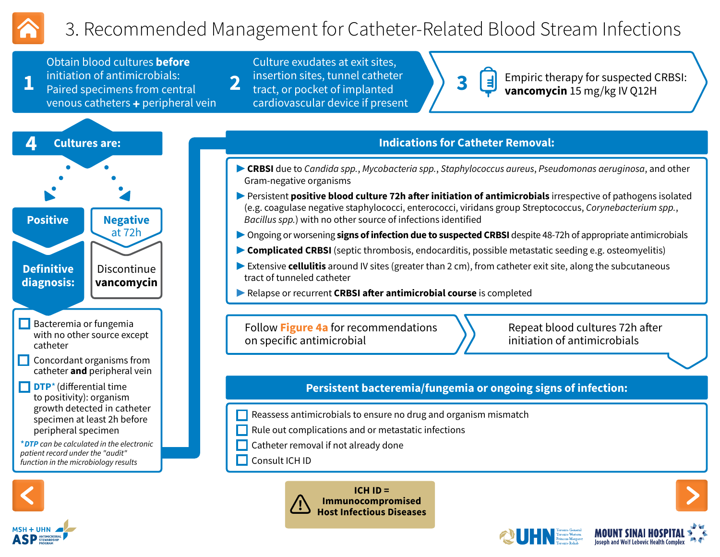# 3. Recommended Management for Catheter-Related Blood Stream Infections

<span id="page-6-0"></span>

**Immunocompromised Host Infectious Diseases**





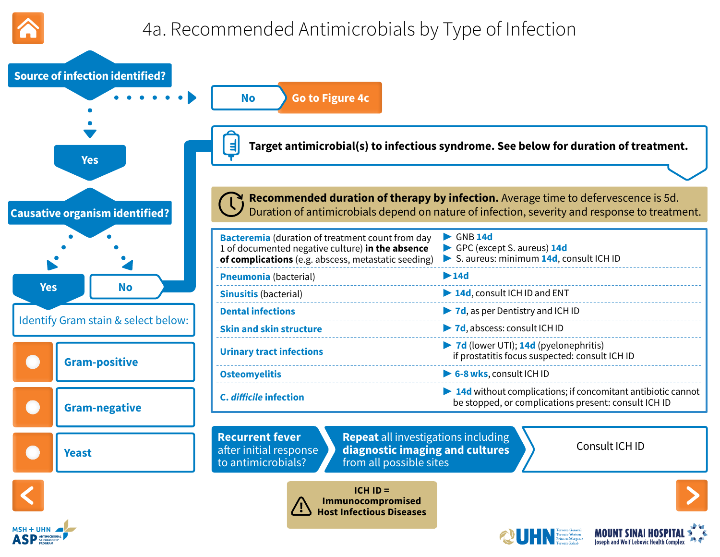<span id="page-7-0"></span>

# 4a. Recommended Antimicrobials by Type of Infection

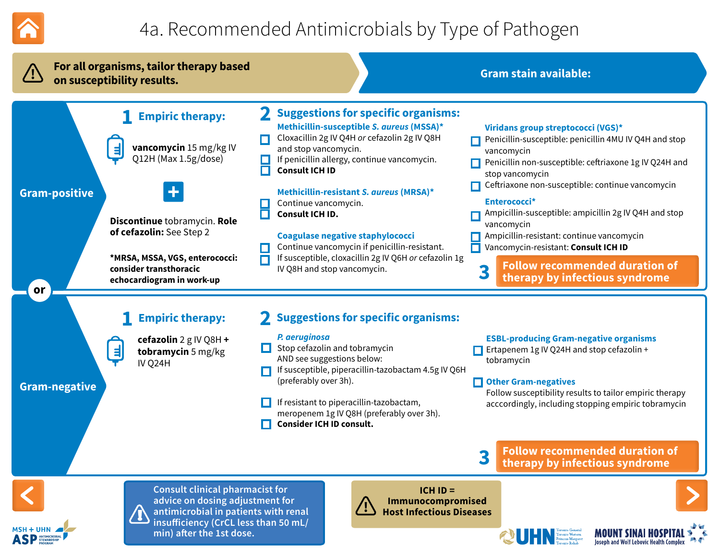

# 4a. Recommended Antimicrobials by Type of Pathogen





**advice on dosing adjustment for antimicrobial in patients with renal insufficiency (CrCL less than 50 mL/ min) after the 1st dose.**



**Joseph and Wolf Lebovic Health Complex**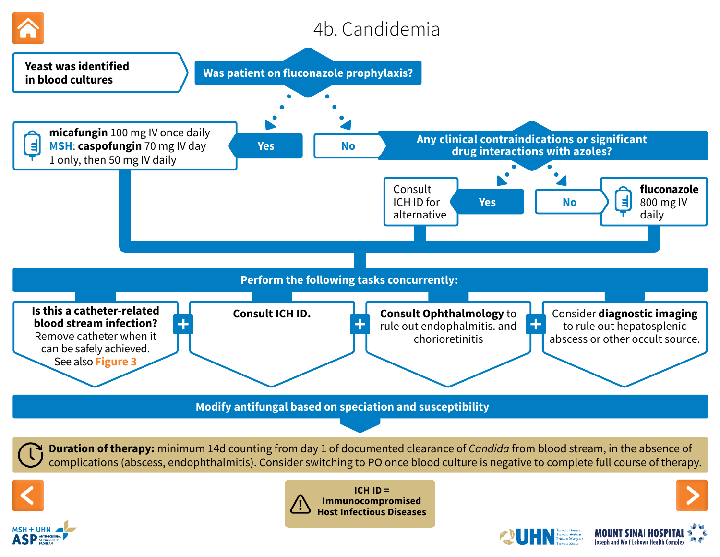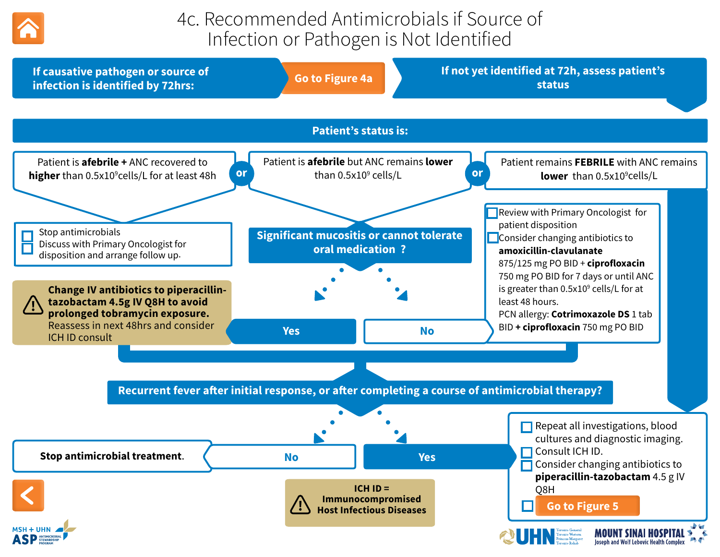### 4c. Recommended Antimicrobials if Source of Infection or Pathogen is Not Identified

<span id="page-10-0"></span>